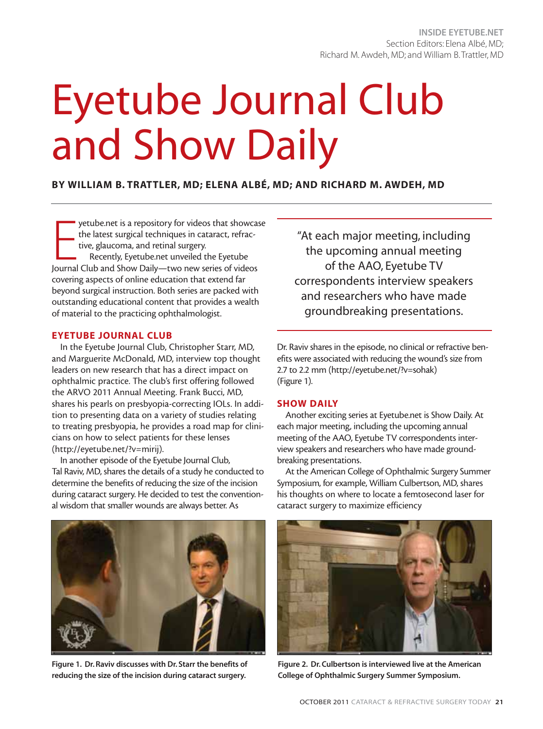# Eyetube Journal Club and Show Daily

# **BY WILLIAM B. TRATTLER, MD; ELENA ALBÉ, MD; AND RICHARD M. AWDEH, MD**

yetube.net is a repository for videos that showca<br>the latest surgical techniques in cataract, refrac-<br>tive, glaucoma, and retinal surgery.<br>Recently, Eyetube.net unveiled the Eyetube<br>Journal Club and Show Daily—two new seri yetube.net is a repository for videos that showcase the latest surgical techniques in cataract, refractive, glaucoma, and retinal surgery. Recently, Eyetube.net unveiled the Eyetube covering aspects of online education that extend far beyond surgical instruction. Both series are packed with outstanding educational content that provides a wealth of material to the practicing ophthalmologist.

### **EYETUBE JOURNAL CLUB**

In the Eyetube Journal Club, Christopher Starr, MD, and Marguerite McDonald, MD, interview top thought leaders on new research that has a direct impact on ophthalmic practice. The club's first offering followed the ARVO 2011 Annual Meeting. Frank Bucci, MD, shares his pearls on presbyopia-correcting IOLs. In addition to presenting data on a variety of studies relating to treating presbyopia, he provides a road map for clinicians on how to select patients for these lenses (http://eyetube.net/?v=mirij).

In another episode of the Eyetube Journal Club, Tal Raviv, MD, shares the details of a study he conducted to determine the benefits of reducing the size of the incision during cataract surgery. He decided to test the conventional wisdom that smaller wounds are always better. As

**Figure 1. Dr. Raviv discusses with Dr. Starr the benefits of reducing the size of the incision during cataract surgery.**

"At each major meeting, including the upcoming annual meeting of the AAO, Eyetube TV correspondents interview speakers and researchers who have made groundbreaking presentations.

Dr. Raviv shares in the episode, no clinical or refractive benefits were associated with reducing the wound's size from 2.7 to 2.2 mm (http://eyetube.net/?v=sohak) (Figure 1).

### **SHOW DAILY**

Another exciting series at Eyetube.net is Show Daily. At each major meeting, including the upcoming annual meeting of the AAO, Eyetube TV correspondents interview speakers and researchers who have made groundbreaking presentations.

At the American College of Ophthalmic Surgery Summer Symposium, for example, William Culbertson, MD, shares his thoughts on where to locate a femtosecond laser for cataract surgery to maximize efficiency



**Figure 2. Dr. Culbertson is interviewed live at the American College of Ophthalmic Surgery Summer Symposium.**